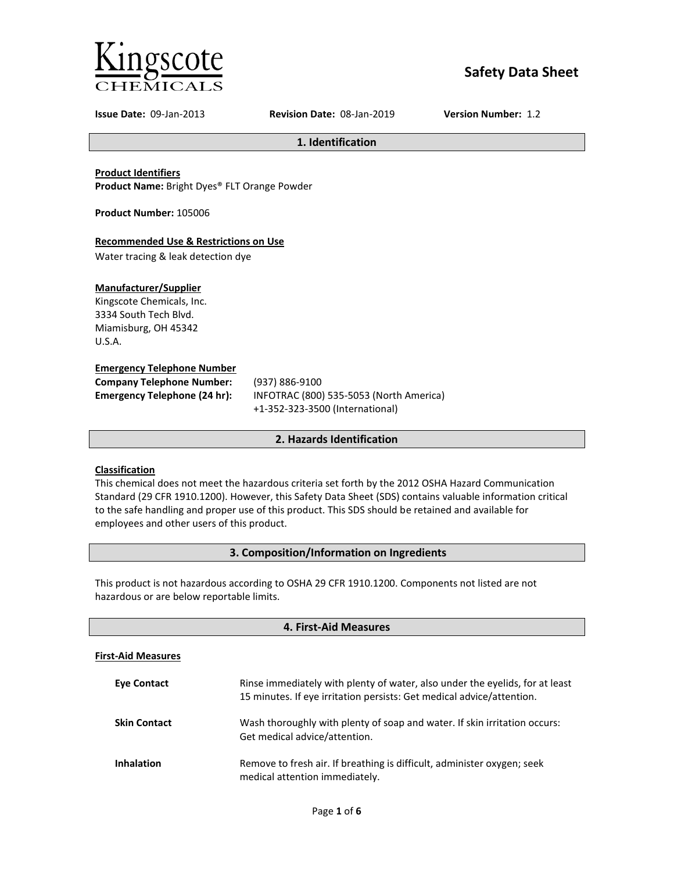

# **Safety Data Sheet**

**Issue Date:** 09-Jan-2013 **Revision Date:** 08-Jan-2019 **Version Number:** 1.2

**1. Identification**

**Product Identifiers**

**Product Name:** Bright Dyes® FLT Orange Powder

**Product Number:** 105006

## **Recommended Use & Restrictions on Use**

Water tracing & leak detection dye

## **Manufacturer/Supplier**

Kingscote Chemicals, Inc. 3334 South Tech Blvd. Miamisburg, OH 45342 U.S.A.

## **Emergency Telephone Number**

| <b>Company Telephone Number:</b> | (93)       |
|----------------------------------|------------|
| Emergency Telephone (24 hr):     | <b>INF</b> |
|                                  |            |

**Company Telephone Number:** (937) 886-9100 **Emergency Telephone (24 hr):** INFOTRAC (800) 535-5053 (North America) +1-352-323-3500 (International)

## **2. Hazards Identification**

## **Classification**

This chemical does not meet the hazardous criteria set forth by the 2012 OSHA Hazard Communication Standard (29 CFR 1910.1200). However, this Safety Data Sheet (SDS) contains valuable information critical to the safe handling and proper use of this product. This SDS should be retained and available for employees and other users of this product.

## **3. Composition/Information on Ingredients**

This product is not hazardous according to OSHA 29 CFR 1910.1200. Components not listed are not hazardous or are below reportable limits.

| 4. First-Aid Measures     |                                                                                                                                                       |  |
|---------------------------|-------------------------------------------------------------------------------------------------------------------------------------------------------|--|
| <b>First-Aid Measures</b> |                                                                                                                                                       |  |
| <b>Eve Contact</b>        | Rinse immediately with plenty of water, also under the eyelids, for at least<br>15 minutes. If eye irritation persists: Get medical advice/attention. |  |
| <b>Skin Contact</b>       | Wash thoroughly with plenty of soap and water. If skin irritation occurs:<br>Get medical advice/attention.                                            |  |
| <b>Inhalation</b>         | Remove to fresh air. If breathing is difficult, administer oxygen; seek<br>medical attention immediately.                                             |  |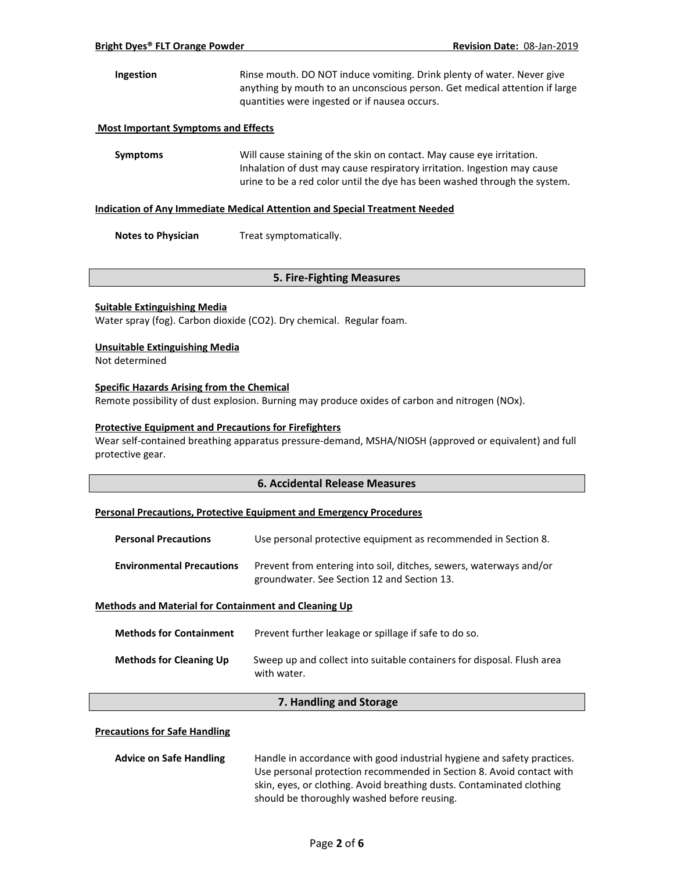## **Ingestion** Rinse mouth. DO NOT induce vomiting. Drink plenty of water. Never give anything by mouth to an unconscious person. Get medical attention if large quantities were ingested or if nausea occurs.

#### **Most Important Symptoms and Effects**

**Symptoms** Will cause staining of the skin on contact. May cause eye irritation. Inhalation of dust may cause respiratory irritation. Ingestion may cause urine to be a red color until the dye has been washed through the system.

#### **Indication of Any Immediate Medical Attention and Special Treatment Needed**

**Notes to Physician** Treat symptomatically.

### **5. Fire-Fighting Measures**

#### **Suitable Extinguishing Media**

Water spray (fog). Carbon dioxide (CO2). Dry chemical. Regular foam.

#### **Unsuitable Extinguishing Media**

Not determined

#### **Specific Hazards Arising from the Chemical**

Remote possibility of dust explosion. Burning may produce oxides of carbon and nitrogen (NOx).

#### **Protective Equipment and Precautions for Firefighters**

Wear self-contained breathing apparatus pressure-demand, MSHA/NIOSH (approved or equivalent) and full protective gear.

### **6. Accidental Release Measures**

## **Personal Precautions, Protective Equipment and Emergency Procedures**

| <b>Personal Precautions</b>      | Use personal protective equipment as recommended in Section 8.                                                    |  |
|----------------------------------|-------------------------------------------------------------------------------------------------------------------|--|
| <b>Environmental Precautions</b> | Prevent from entering into soil, ditches, sewers, waterways and/or<br>groundwater. See Section 12 and Section 13. |  |

## **Methods and Material for Containment and Cleaning Up**

| <b>Methods for Containment</b> | Prevent further leakage or spillage if safe to do so.                                 |
|--------------------------------|---------------------------------------------------------------------------------------|
| <b>Methods for Cleaning Up</b> | Sweep up and collect into suitable containers for disposal. Flush area<br>with water. |

## **7. Handling and Storage**

#### **Precautions for Safe Handling**

| <b>Advice on Safe Handling</b> | Handle in accordance with good industrial hygiene and safety practices. |
|--------------------------------|-------------------------------------------------------------------------|
|                                | Use personal protection recommended in Section 8. Avoid contact with    |
|                                | skin, eyes, or clothing. Avoid breathing dusts. Contaminated clothing   |
|                                | should be thoroughly washed before reusing.                             |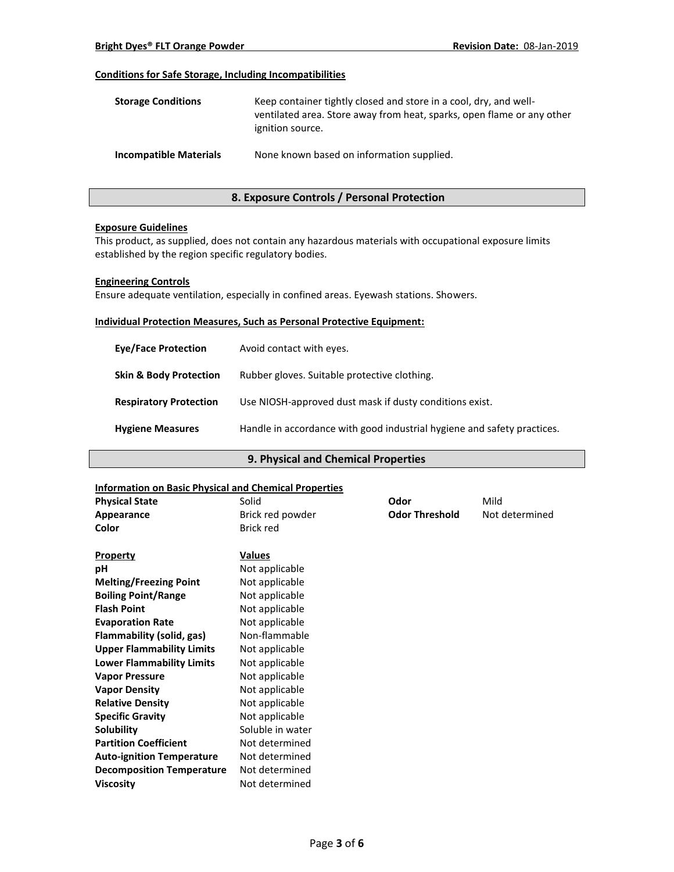## **Conditions for Safe Storage, Including Incompatibilities**

| <b>Storage Conditions</b>     | Keep container tightly closed and store in a cool, dry, and well-<br>ventilated area. Store away from heat, sparks, open flame or any other<br>ignition source. |
|-------------------------------|-----------------------------------------------------------------------------------------------------------------------------------------------------------------|
| <b>Incompatible Materials</b> | None known based on information supplied.                                                                                                                       |

## **8. Exposure Controls / Personal Protection**

### **Exposure Guidelines**

This product, as supplied, does not contain any hazardous materials with occupational exposure limits established by the region specific regulatory bodies.

### **Engineering Controls**

Ensure adequate ventilation, especially in confined areas. Eyewash stations. Showers.

#### **Individual Protection Measures, Such as Personal Protective Equipment:**

| <b>Eve/Face Protection</b>        | Avoid contact with eyes.                                                |
|-----------------------------------|-------------------------------------------------------------------------|
| <b>Skin &amp; Body Protection</b> | Rubber gloves. Suitable protective clothing.                            |
| <b>Respiratory Protection</b>     | Use NIOSH-approved dust mask if dusty conditions exist.                 |
| <b>Hygiene Measures</b>           | Handle in accordance with good industrial hygiene and safety practices. |

## **9. Physical and Chemical Properties**

## **Information on Basic Physical and Chemical Properties**

| <u>IIIIUI IIIauuil UII Basic Pilysical aliu Cheniical Properties</u> |                  |                       |                |
|----------------------------------------------------------------------|------------------|-----------------------|----------------|
| <b>Physical State</b>                                                | Solid            | Odor                  | Mild           |
| Appearance                                                           | Brick red powder | <b>Odor Threshold</b> | Not determined |
| Color                                                                | <b>Brick red</b> |                       |                |
|                                                                      |                  |                       |                |
| <b>Property</b>                                                      | <b>Values</b>    |                       |                |
| рH                                                                   | Not applicable   |                       |                |
| <b>Melting/Freezing Point</b>                                        | Not applicable   |                       |                |
| <b>Boiling Point/Range</b>                                           | Not applicable   |                       |                |
| <b>Flash Point</b>                                                   | Not applicable   |                       |                |
| <b>Evaporation Rate</b>                                              | Not applicable   |                       |                |
| Flammability (solid, gas)                                            | Non-flammable    |                       |                |
| <b>Upper Flammability Limits</b>                                     | Not applicable   |                       |                |
| <b>Lower Flammability Limits</b>                                     | Not applicable   |                       |                |
| <b>Vapor Pressure</b>                                                | Not applicable   |                       |                |
| <b>Vapor Density</b>                                                 | Not applicable   |                       |                |
| <b>Relative Density</b>                                              | Not applicable   |                       |                |
| <b>Specific Gravity</b>                                              | Not applicable   |                       |                |
| Solubility                                                           | Soluble in water |                       |                |
| <b>Partition Coefficient</b>                                         | Not determined   |                       |                |
| <b>Auto-ignition Temperature</b>                                     | Not determined   |                       |                |
| <b>Decomposition Temperature</b>                                     | Not determined   |                       |                |
| <b>Viscosity</b>                                                     | Not determined   |                       |                |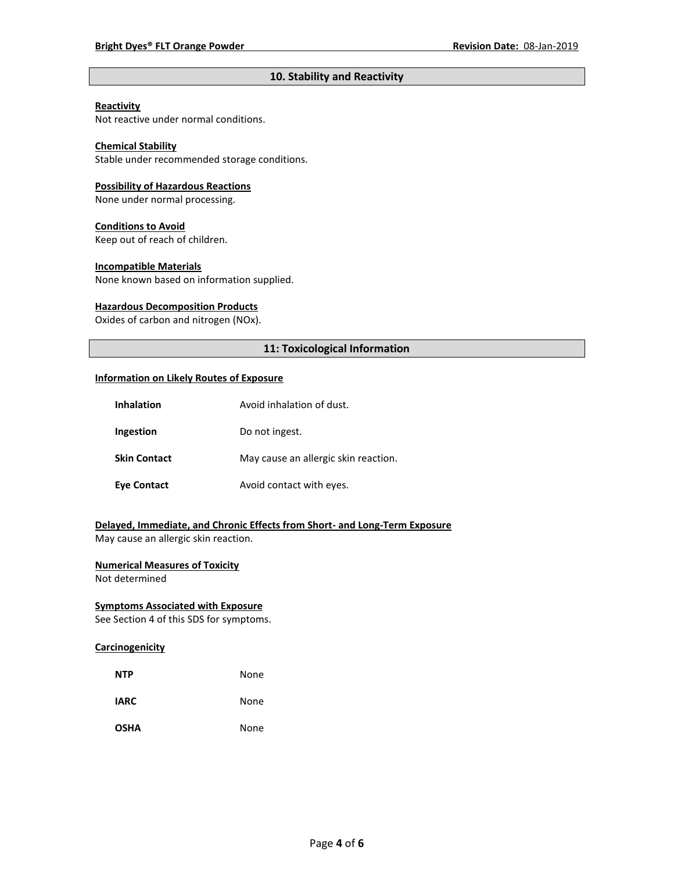## **10. Stability and Reactivity**

## **Reactivity**

Not reactive under normal conditions.

## **Chemical Stability**

Stable under recommended storage conditions.

#### **Possibility of Hazardous Reactions**

None under normal processing.

#### **Conditions to Avoid**

Keep out of reach of children.

#### **Incompatible Materials**

None known based on information supplied.

#### **Hazardous Decomposition Products**

Oxides of carbon and nitrogen (NOx).

## **11: Toxicological Information**

#### **Information on Likely Routes of Exposure**

| Inhalation          | Avoid inhalation of dust.            |
|---------------------|--------------------------------------|
| Ingestion           | Do not ingest.                       |
| <b>Skin Contact</b> | May cause an allergic skin reaction. |
| <b>Eve Contact</b>  | Avoid contact with eyes.             |

# **Delayed, Immediate, and Chronic Effects from Short- and Long-Term Exposure**

May cause an allergic skin reaction.

## **Numerical Measures of Toxicity**

Not determined

## **Symptoms Associated with Exposure**

See Section 4 of this SDS for symptoms.

### **Carcinogenicity**

| <b>NTP</b>  | None |
|-------------|------|
| <b>IARC</b> | None |
| <b>OSHA</b> | None |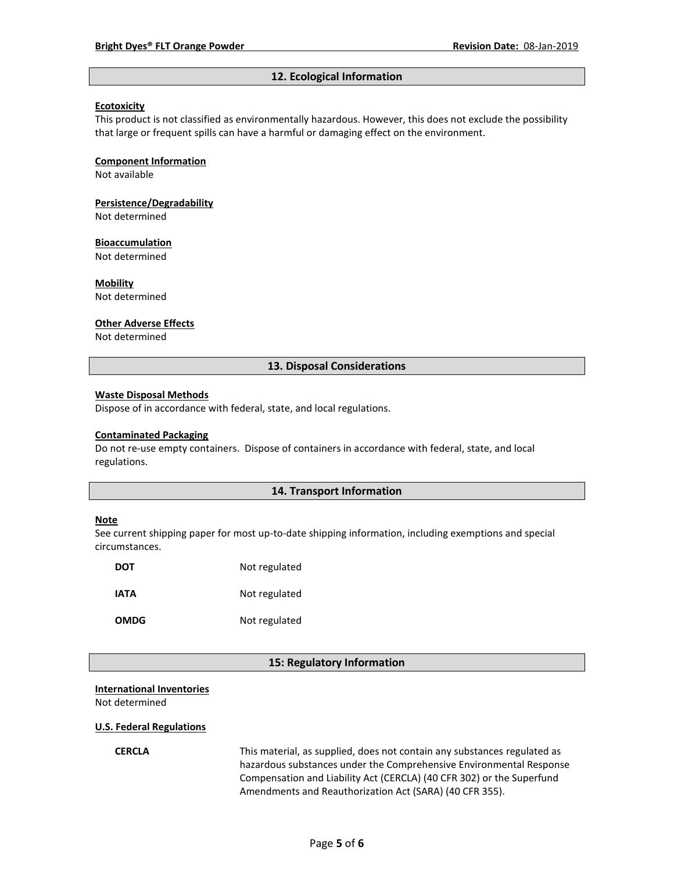#### **12. Ecological Information**

#### **Ecotoxicity**

This product is not classified as environmentally hazardous. However, this does not exclude the possibility that large or frequent spills can have a harmful or damaging effect on the environment.

#### **Component Information**

Not available

# **Persistence/Degradability**

Not determined

#### **Bioaccumulation**

Not determined

#### **Mobility**

Not determined

#### **Other Adverse Effects**

Not determined

### **13. Disposal Considerations**

#### **Waste Disposal Methods**

Dispose of in accordance with federal, state, and local regulations.

#### **Contaminated Packaging**

Do not re-use empty containers.Dispose of containers in accordance with federal, state, and local regulations.

## **14. Transport Information**

#### **Note**

See current shipping paper for most up-to-date shipping information, including exemptions and special circumstances.

| DOT         | Not regulated |
|-------------|---------------|
| IATA        | Not regulated |
| <b>OMDG</b> | Not regulated |

### **15: Regulatory Information**

### **International Inventories** Not determined

#### **U.S. Federal Regulations**

**CERCLA** This material, as supplied, does not contain any substances regulated as hazardous substances under the Comprehensive Environmental Response Compensation and Liability Act (CERCLA) (40 CFR 302) or the Superfund Amendments and Reauthorization Act (SARA) (40 CFR 355).